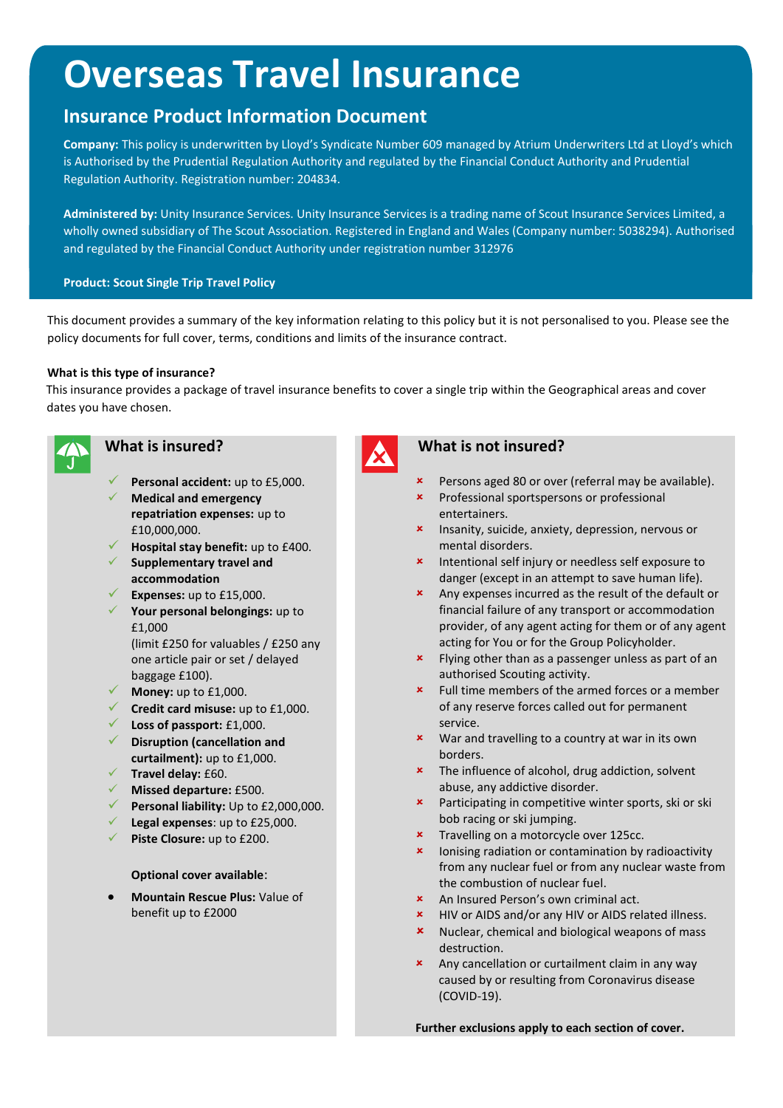# **Overseas Travel Insurance**

## **Insurance Product Information Document**

**Company:** This policy is underwritten by Lloyd's Syndicate Number 609 managed by Atrium Underwriters Ltd at Lloyd's which is Authorised by the Prudential Regulation Authority and regulated by the Financial Conduct Authority and Prudential Regulation Authority. Registration number: 204834.

**Administered by:** Unity Insurance Services. Unity Insurance Services is a trading name of Scout Insurance Services Limited, a wholly owned subsidiary of The Scout Association. Registered in England and Wales (Company number: 5038294). Authorised and regulated by the Financial Conduct Authority under registration number 312976

#### **Product: Scout Single Trip Travel Policy**

This document provides a summary of the key information relating to this policy but it is not personalised to you. Please see the policy documents for full cover, terms, conditions and limits of the insurance contract.

#### **What is this type of insurance?**

This insurance provides a package of travel insurance benefits to cover a single trip within the Geographical areas and cover dates you have chosen.



- **Personal accident:** up to £5,000.
- **Medical and emergency repatriation expenses:** up to £10,000,000.
- **Hospital stay benefit:** up to £400.
- **Supplementary travel and accommodation**
- **Expenses:** up to £15,000.
- **Your personal belongings:** up to £1,000

(limit £250 for valuables / £250 any one article pair or set / delayed baggage £100).

- **Money:** up to £1,000.
- **Credit card misuse:** up to £1,000.
- **Loss of passport:** £1,000.
- **Disruption (cancellation and curtailment):** up to £1,000.
- **Travel delay:** £60.
- **Missed departure:** £500.
- **Personal liability:** Up to £2,000,000.
- **Legal expenses**: up to £25,000.
- **Piste Closure:** up to £200.

#### **Optional cover available**:

 **Mountain Rescue Plus:** Value of benefit up to £2000

#### **What is insured? What is not insured?**

- **\*** Persons aged 80 or over (referral may be available).
- **\*** Professional sportspersons or professional entertainers.
- **\*** Insanity, suicide, anxiety, depression, nervous or mental disorders.
- **\*** Intentional self injury or needless self exposure to danger (except in an attempt to save human life).
- Any expenses incurred as the result of the default or financial failure of any transport or accommodation provider, of any agent acting for them or of any agent acting for You or for the Group Policyholder.
- **\*** Flying other than as a passenger unless as part of an authorised Scouting activity.
- Full time members of the armed forces or a member of any reserve forces called out for permanent service.
- **x** War and travelling to a country at war in its own borders.
- **\*** The influence of alcohol, drug addiction, solvent abuse, any addictive disorder.
- **\*** Participating in competitive winter sports, ski or ski bob racing or ski jumping.
- **\*** Travelling on a motorcycle over 125cc.
- **x** lonising radiation or contamination by radioactivity from any nuclear fuel or from any nuclear waste from the combustion of nuclear fuel.
- An Insured Person's own criminal act.
- HIV or AIDS and/or any HIV or AIDS related illness.
- **x** Nuclear, chemical and biological weapons of mass destruction.
- Any cancellation or curtailment claim in any way caused by or resulting from Coronavirus disease (COVID-19).

**Further exclusions apply to each section of cover.**